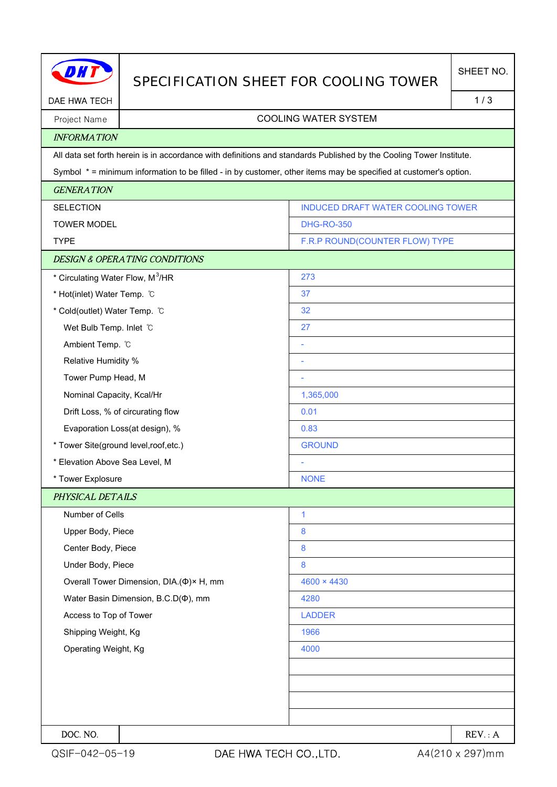|                                                                                                                  |                                          | SPECIFICATION SHEET FOR COOLING TOWER                                                                               |        |  |  |
|------------------------------------------------------------------------------------------------------------------|------------------------------------------|---------------------------------------------------------------------------------------------------------------------|--------|--|--|
| DAE HWA TECH                                                                                                     |                                          |                                                                                                                     | 1/3    |  |  |
| Project Name                                                                                                     | <b>COOLING WATER SYSTEM</b>              |                                                                                                                     |        |  |  |
| <b>INFORMATION</b>                                                                                               |                                          |                                                                                                                     |        |  |  |
|                                                                                                                  |                                          | All data set forth herein is in accordance with definitions and standards Published by the Cooling Tower Institute. |        |  |  |
| Symbol * = minimum information to be filled - in by customer, other items may be specified at customer's option. |                                          |                                                                                                                     |        |  |  |
| <b>GENERATION</b>                                                                                                |                                          |                                                                                                                     |        |  |  |
| <b>SELECTION</b>                                                                                                 |                                          | INDUCED DRAFT WATER COOLING TOWER                                                                                   |        |  |  |
| <b>TOWER MODEL</b>                                                                                               |                                          | <b>DHG-RO-350</b>                                                                                                   |        |  |  |
| <b>TYPE</b>                                                                                                      |                                          | F.R.P ROUND(COUNTER FLOW) TYPE                                                                                      |        |  |  |
|                                                                                                                  | <b>DESIGN &amp; OPERATING CONDITIONS</b> |                                                                                                                     |        |  |  |
| * Circulating Water Flow, M <sup>3</sup> /HR                                                                     |                                          | 273                                                                                                                 |        |  |  |
| * Hot(inlet) Water Temp. C                                                                                       |                                          | 37                                                                                                                  |        |  |  |
| * Cold(outlet) Water Temp. C                                                                                     |                                          | 32                                                                                                                  |        |  |  |
| Wet Bulb Temp. Inlet C                                                                                           |                                          | 27                                                                                                                  |        |  |  |
| Ambient Temp. °C                                                                                                 |                                          | ÷                                                                                                                   |        |  |  |
| Relative Humidity %                                                                                              |                                          | ÷                                                                                                                   |        |  |  |
| Tower Pump Head, M                                                                                               |                                          | ÷                                                                                                                   |        |  |  |
| Nominal Capacity, Kcal/Hr                                                                                        |                                          | 1,365,000                                                                                                           |        |  |  |
| Drift Loss, % of circurating flow                                                                                |                                          | 0.01                                                                                                                |        |  |  |
| Evaporation Loss(at design), %                                                                                   |                                          | 0.83                                                                                                                |        |  |  |
| * Tower Site(ground level, roof, etc.)                                                                           |                                          | <b>GROUND</b>                                                                                                       |        |  |  |
| * Elevation Above Sea Level, M                                                                                   |                                          |                                                                                                                     |        |  |  |
| * Tower Explosure                                                                                                |                                          | <b>NONE</b>                                                                                                         |        |  |  |
| PHYSICAL DETAILS                                                                                                 |                                          |                                                                                                                     |        |  |  |
| Number of Cells                                                                                                  |                                          | $\mathbf{1}$                                                                                                        |        |  |  |
| Upper Body, Piece                                                                                                |                                          | 8                                                                                                                   |        |  |  |
| Center Body, Piece                                                                                               |                                          | 8                                                                                                                   |        |  |  |
| Under Body, Piece                                                                                                |                                          | 8                                                                                                                   |        |  |  |
| Overall Tower Dimension, DIA.(Φ)× H, mm                                                                          |                                          | $4600 \times 4430$                                                                                                  |        |  |  |
| Water Basin Dimension, B.C.D( $\Phi$ ), mm                                                                       |                                          | 4280                                                                                                                |        |  |  |
| Access to Top of Tower                                                                                           |                                          | <b>LADDER</b>                                                                                                       |        |  |  |
| Shipping Weight, Kg                                                                                              |                                          | 1966                                                                                                                |        |  |  |
| Operating Weight, Kg                                                                                             |                                          | 4000                                                                                                                |        |  |  |
|                                                                                                                  |                                          |                                                                                                                     |        |  |  |
|                                                                                                                  |                                          |                                                                                                                     |        |  |  |
|                                                                                                                  |                                          |                                                                                                                     |        |  |  |
|                                                                                                                  |                                          |                                                                                                                     |        |  |  |
| DOC. NO.                                                                                                         |                                          |                                                                                                                     | REV: A |  |  |

H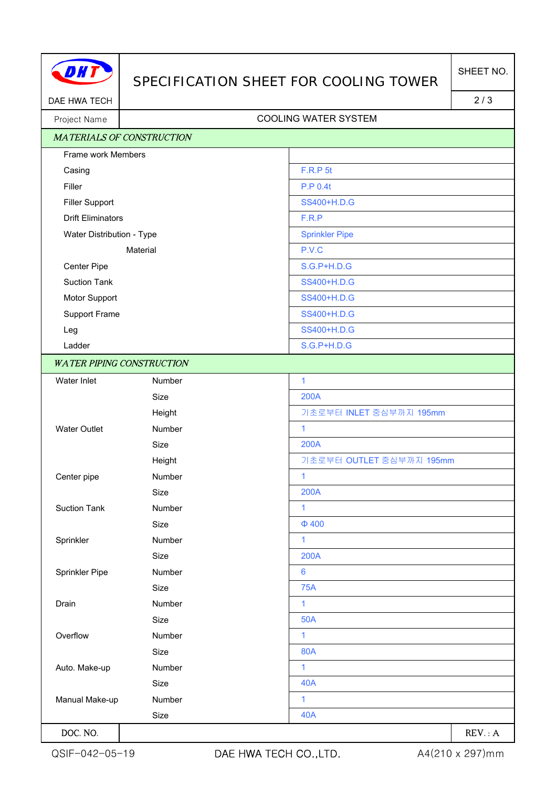

## SPECIFICATION SHEET FOR COOLING TOWER

DAE HWA TECH 2/3

## Project Name | Name | Name | Name | Name | Name | Name | Name | Name | Name | Name | Name | Name | Name | Name | Name | Name | Name | Name | Name | Name | Name | Name | Name | Name | Name | Name | Name | Name | Name | Name

| <b>MATERIALS OF CONSTRUCTION</b> |        |                          |
|----------------------------------|--------|--------------------------|
| Frame work Members               |        |                          |
| Casing                           |        | F.R.P 5t                 |
| Filler                           |        | P.P 0.4t                 |
| <b>Filler Support</b>            |        | SS400+H.D.G              |
| <b>Drift Eliminators</b>         |        | F.R.P                    |
| Water Distribution - Type        |        | <b>Sprinkler Pipe</b>    |
| Material                         |        | P.V.C                    |
| Center Pipe                      |        | <b>S.G.P+H.D.G</b>       |
| <b>Suction Tank</b>              |        | SS400+H.D.G              |
| Motor Support                    |        | SS400+H.D.G              |
| Support Frame                    |        | SS400+H.D.G              |
| Leg                              |        | SS400+H.D.G              |
| Ladder                           |        | S.G.P+H.D.G              |
| <b>WATER PIPING CONSTRUCTION</b> |        |                          |
| Water Inlet                      | Number | $\mathbf{1}$             |
|                                  | Size   | 200A                     |
|                                  | Height | 기초로부터 INLET 중심부까지 195mm  |
| <b>Water Outlet</b>              | Number | $\mathbf{1}$             |
|                                  | Size   | <b>200A</b>              |
|                                  | Height | 기초로부터 OUTLET 중심부까지 195mm |
| Center pipe                      | Number | $\mathbf{1}$             |
|                                  | Size   | 200A                     |
| <b>Suction Tank</b>              | Number | $\mathbf{1}$             |
|                                  | Size   | $\Phi$ 400               |
| Sprinkler                        | Number | $\mathbf{1}$             |
|                                  | Size   | 200A                     |
| Sprinkler Pipe                   | Number | $6\phantom{1}6$          |
|                                  | Size   | <b>75A</b>               |
| Drain                            | Number | 1                        |
|                                  | Size   | <b>50A</b>               |
| Overflow                         | Number | $\mathbf{1}$             |
|                                  | Size   | <b>80A</b>               |
| Auto. Make-up                    | Number | $\mathbf{1}$             |
|                                  | Size   | <b>40A</b>               |
| Manual Make-up                   | Number | 1                        |
|                                  | Size   | <b>40A</b>               |
| DOC. NO.                         |        | REV: A                   |